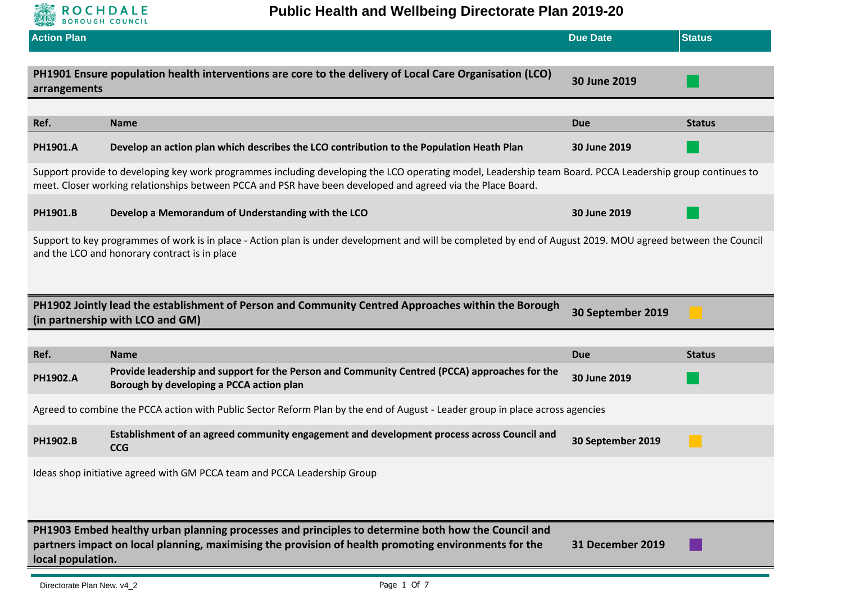

| <b>Action Plan</b>                                                                                                                                                                                                                                  |                                                                                                                                                                                                                                                                          | <b>Due Date</b>            | <b>Status</b> |  |
|-----------------------------------------------------------------------------------------------------------------------------------------------------------------------------------------------------------------------------------------------------|--------------------------------------------------------------------------------------------------------------------------------------------------------------------------------------------------------------------------------------------------------------------------|----------------------------|---------------|--|
| arrangements                                                                                                                                                                                                                                        | PH1901 Ensure population health interventions are core to the delivery of Local Care Organisation (LCO)                                                                                                                                                                  | 30 June 2019               |               |  |
| Ref.                                                                                                                                                                                                                                                | <b>Name</b>                                                                                                                                                                                                                                                              | <b>Due</b>                 | <b>Status</b> |  |
| PH1901.A                                                                                                                                                                                                                                            | Develop an action plan which describes the LCO contribution to the Population Heath Plan                                                                                                                                                                                 | 30 June 2019               |               |  |
|                                                                                                                                                                                                                                                     | Support provide to developing key work programmes including developing the LCO operating model, Leadership team Board. PCCA Leadership group continues to<br>meet. Closer working relationships between PCCA and PSR have been developed and agreed via the Place Board. |                            |               |  |
| PH1901.B                                                                                                                                                                                                                                            | Develop a Memorandum of Understanding with the LCO                                                                                                                                                                                                                       | 30 June 2019               |               |  |
|                                                                                                                                                                                                                                                     | Support to key programmes of work is in place - Action plan is under development and will be completed by end of August 2019. MOU agreed between the Council<br>and the LCO and honorary contract is in place                                                            |                            |               |  |
|                                                                                                                                                                                                                                                     | PH1902 Jointly lead the establishment of Person and Community Centred Approaches within the Borough<br>(in partnership with LCO and GM)                                                                                                                                  | 30 September 2019          |               |  |
|                                                                                                                                                                                                                                                     |                                                                                                                                                                                                                                                                          |                            |               |  |
| Ref.<br><b>PH1902.A</b>                                                                                                                                                                                                                             | <b>Name</b><br>Provide leadership and support for the Person and Community Centred (PCCA) approaches for the<br>Borough by developing a PCCA action plan                                                                                                                 | <b>Due</b><br>30 June 2019 | <b>Status</b> |  |
|                                                                                                                                                                                                                                                     | Agreed to combine the PCCA action with Public Sector Reform Plan by the end of August - Leader group in place across agencies                                                                                                                                            |                            |               |  |
| PH1902.B                                                                                                                                                                                                                                            | Establishment of an agreed community engagement and development process across Council and<br><b>CCG</b>                                                                                                                                                                 | 30 September 2019          |               |  |
| Ideas shop initiative agreed with GM PCCA team and PCCA Leadership Group                                                                                                                                                                            |                                                                                                                                                                                                                                                                          |                            |               |  |
| PH1903 Embed healthy urban planning processes and principles to determine both how the Council and<br>partners impact on local planning, maximising the provision of health promoting environments for the<br>31 December 2019<br>local population. |                                                                                                                                                                                                                                                                          |                            |               |  |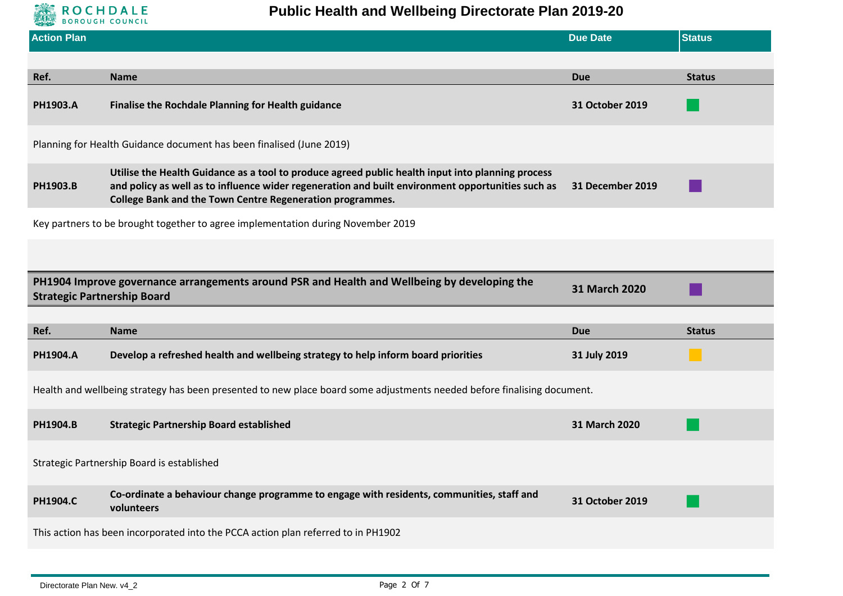

| <b>Action Plan</b>                                                                                                                                  |                                                                                                                                                                                                                                                                     | <b>Due Date</b>  | <b>Status</b> |  |
|-----------------------------------------------------------------------------------------------------------------------------------------------------|---------------------------------------------------------------------------------------------------------------------------------------------------------------------------------------------------------------------------------------------------------------------|------------------|---------------|--|
|                                                                                                                                                     |                                                                                                                                                                                                                                                                     |                  |               |  |
| Ref.                                                                                                                                                | <b>Name</b>                                                                                                                                                                                                                                                         | <b>Due</b>       | <b>Status</b> |  |
| PH1903.A                                                                                                                                            | <b>Finalise the Rochdale Planning for Health guidance</b>                                                                                                                                                                                                           | 31 October 2019  |               |  |
|                                                                                                                                                     | Planning for Health Guidance document has been finalised (June 2019)                                                                                                                                                                                                |                  |               |  |
| PH1903.B                                                                                                                                            | Utilise the Health Guidance as a tool to produce agreed public health input into planning process<br>and policy as well as to influence wider regeneration and built environment opportunities such as<br>College Bank and the Town Centre Regeneration programmes. | 31 December 2019 |               |  |
|                                                                                                                                                     | Key partners to be brought together to agree implementation during November 2019                                                                                                                                                                                    |                  |               |  |
|                                                                                                                                                     |                                                                                                                                                                                                                                                                     |                  |               |  |
| PH1904 Improve governance arrangements around PSR and Health and Wellbeing by developing the<br>31 March 2020<br><b>Strategic Partnership Board</b> |                                                                                                                                                                                                                                                                     |                  |               |  |
|                                                                                                                                                     |                                                                                                                                                                                                                                                                     |                  |               |  |
| Ref.                                                                                                                                                | <b>Name</b>                                                                                                                                                                                                                                                         | <b>Due</b>       | <b>Status</b> |  |
| <b>PH1904.A</b>                                                                                                                                     | Develop a refreshed health and wellbeing strategy to help inform board priorities                                                                                                                                                                                   | 31 July 2019     |               |  |
| Health and wellbeing strategy has been presented to new place board some adjustments needed before finalising document.                             |                                                                                                                                                                                                                                                                     |                  |               |  |
| PH1904.B                                                                                                                                            | <b>Strategic Partnership Board established</b>                                                                                                                                                                                                                      | 31 March 2020    |               |  |
|                                                                                                                                                     | Strategic Partnership Board is established                                                                                                                                                                                                                          |                  |               |  |
| <b>PH1904.C</b>                                                                                                                                     | Co-ordinate a behaviour change programme to engage with residents, communities, staff and<br>volunteers                                                                                                                                                             | 31 October 2019  |               |  |
|                                                                                                                                                     | This action has been incorporated into the PCCA action plan referred to in PH1902                                                                                                                                                                                   |                  |               |  |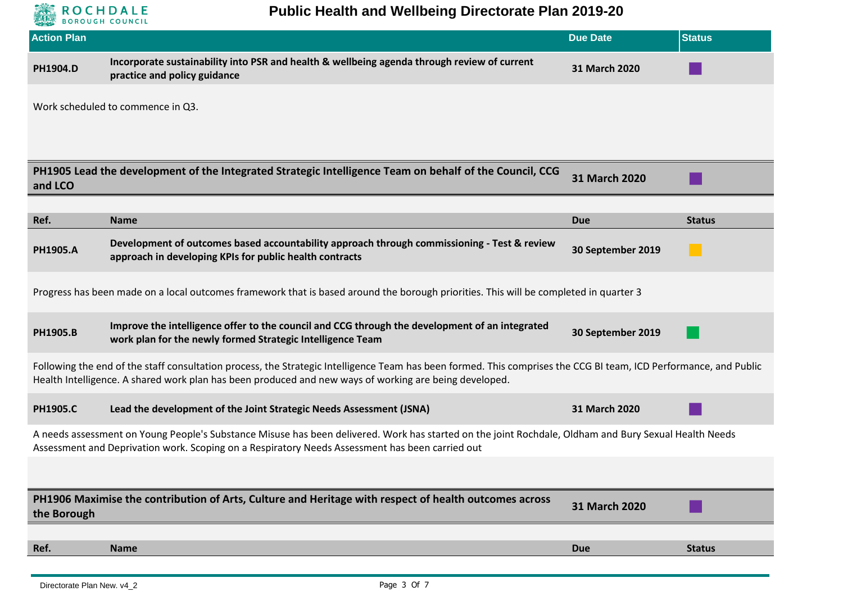

| <b>Action Plan</b>                                                                                                                                                                                                                                                          |                                                                                                                                                                                                                                                          | <b>Due Date</b>      | <b>Status</b> |  |
|-----------------------------------------------------------------------------------------------------------------------------------------------------------------------------------------------------------------------------------------------------------------------------|----------------------------------------------------------------------------------------------------------------------------------------------------------------------------------------------------------------------------------------------------------|----------------------|---------------|--|
| PH1904.D                                                                                                                                                                                                                                                                    | Incorporate sustainability into PSR and health & wellbeing agenda through review of current<br>practice and policy guidance                                                                                                                              | 31 March 2020        |               |  |
|                                                                                                                                                                                                                                                                             | Work scheduled to commence in Q3.                                                                                                                                                                                                                        |                      |               |  |
| and LCO                                                                                                                                                                                                                                                                     | PH1905 Lead the development of the Integrated Strategic Intelligence Team on behalf of the Council, CCG                                                                                                                                                  | <b>31 March 2020</b> |               |  |
| Ref.                                                                                                                                                                                                                                                                        | <b>Name</b>                                                                                                                                                                                                                                              | <b>Due</b>           | <b>Status</b> |  |
| <b>PH1905.A</b>                                                                                                                                                                                                                                                             | Development of outcomes based accountability approach through commissioning - Test & review<br>approach in developing KPIs for public health contracts                                                                                                   | 30 September 2019    |               |  |
|                                                                                                                                                                                                                                                                             | Progress has been made on a local outcomes framework that is based around the borough priorities. This will be completed in quarter 3                                                                                                                    |                      |               |  |
| <b>PH1905.B</b>                                                                                                                                                                                                                                                             | Improve the intelligence offer to the council and CCG through the development of an integrated<br>work plan for the newly formed Strategic Intelligence Team                                                                                             | 30 September 2019    |               |  |
| Following the end of the staff consultation process, the Strategic Intelligence Team has been formed. This comprises the CCG BI team, ICD Performance, and Public<br>Health Intelligence. A shared work plan has been produced and new ways of working are being developed. |                                                                                                                                                                                                                                                          |                      |               |  |
| <b>PH1905.C</b>                                                                                                                                                                                                                                                             | Lead the development of the Joint Strategic Needs Assessment (JSNA)                                                                                                                                                                                      | 31 March 2020        |               |  |
|                                                                                                                                                                                                                                                                             | A needs assessment on Young People's Substance Misuse has been delivered. Work has started on the joint Rochdale, Oldham and Bury Sexual Health Needs<br>Assessment and Deprivation work. Scoping on a Respiratory Needs Assessment has been carried out |                      |               |  |
|                                                                                                                                                                                                                                                                             |                                                                                                                                                                                                                                                          |                      |               |  |
| the Borough                                                                                                                                                                                                                                                                 | PH1906 Maximise the contribution of Arts, Culture and Heritage with respect of health outcomes across                                                                                                                                                    | 31 March 2020        |               |  |
|                                                                                                                                                                                                                                                                             |                                                                                                                                                                                                                                                          |                      |               |  |
| Ref.                                                                                                                                                                                                                                                                        | <b>Name</b>                                                                                                                                                                                                                                              | <b>Due</b>           | <b>Status</b> |  |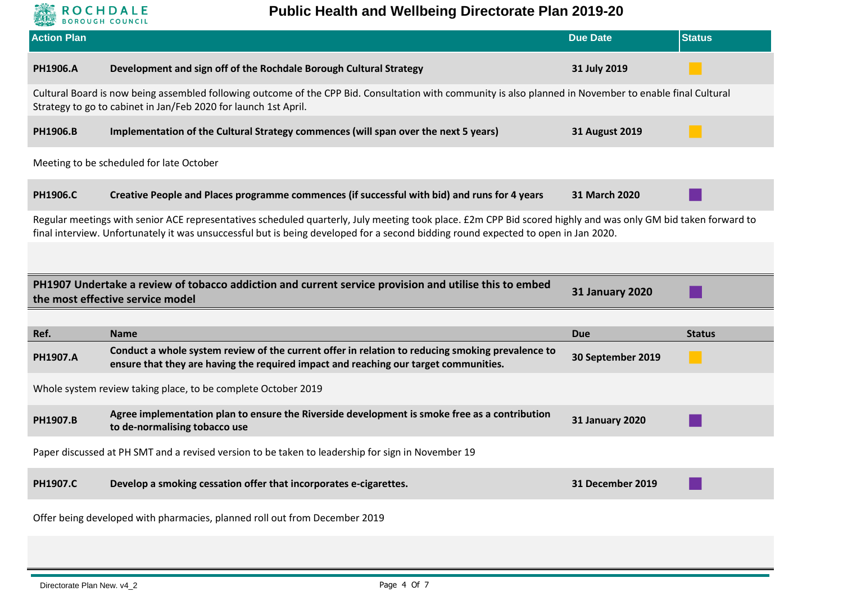

**Public Health and Wellbeing Directorate Plan 2019-20**

| <b>Action Plan</b> |                                                                                                                                                                                                                                                                                                     | <b>Due Date</b>        | <b>Status</b> |  |
|--------------------|-----------------------------------------------------------------------------------------------------------------------------------------------------------------------------------------------------------------------------------------------------------------------------------------------------|------------------------|---------------|--|
| PH1906.A           | Development and sign off of the Rochdale Borough Cultural Strategy                                                                                                                                                                                                                                  | 31 July 2019           |               |  |
|                    | Cultural Board is now being assembled following outcome of the CPP Bid. Consultation with community is also planned in November to enable final Cultural<br>Strategy to go to cabinet in Jan/Feb 2020 for launch 1st April.                                                                         |                        |               |  |
| PH1906.B           | Implementation of the Cultural Strategy commences (will span over the next 5 years)                                                                                                                                                                                                                 | <b>31 August 2019</b>  |               |  |
|                    | Meeting to be scheduled for late October                                                                                                                                                                                                                                                            |                        |               |  |
| <b>PH1906.C</b>    | Creative People and Places programme commences (if successful with bid) and runs for 4 years                                                                                                                                                                                                        | 31 March 2020          |               |  |
|                    | Regular meetings with senior ACE representatives scheduled quarterly, July meeting took place. £2m CPP Bid scored highly and was only GM bid taken forward to<br>final interview. Unfortunately it was unsuccessful but is being developed for a second bidding round expected to open in Jan 2020. |                        |               |  |
|                    |                                                                                                                                                                                                                                                                                                     |                        |               |  |
|                    | PH1907 Undertake a review of tobacco addiction and current service provision and utilise this to embed<br><b>31 January 2020</b><br>the most effective service model                                                                                                                                |                        |               |  |
|                    |                                                                                                                                                                                                                                                                                                     |                        |               |  |
| Ref.               | <b>Name</b>                                                                                                                                                                                                                                                                                         | <b>Due</b>             | <b>Status</b> |  |
| PH1907.A           | Conduct a whole system review of the current offer in relation to reducing smoking prevalence to<br>ensure that they are having the required impact and reaching our target communities.                                                                                                            | 30 September 2019      |               |  |
|                    | Whole system review taking place, to be complete October 2019                                                                                                                                                                                                                                       |                        |               |  |
| PH1907.B           | Agree implementation plan to ensure the Riverside development is smoke free as a contribution<br>to de-normalising tobacco use                                                                                                                                                                      | <b>31 January 2020</b> |               |  |
|                    | Paper discussed at PH SMT and a revised version to be taken to leadership for sign in November 19                                                                                                                                                                                                   |                        |               |  |
|                    |                                                                                                                                                                                                                                                                                                     |                        |               |  |
| PH1907.C           | Develop a smoking cessation offer that incorporates e-cigarettes.                                                                                                                                                                                                                                   | 31 December 2019       |               |  |
|                    | Offer being developed with pharmacies, planned roll out from December 2019                                                                                                                                                                                                                          |                        |               |  |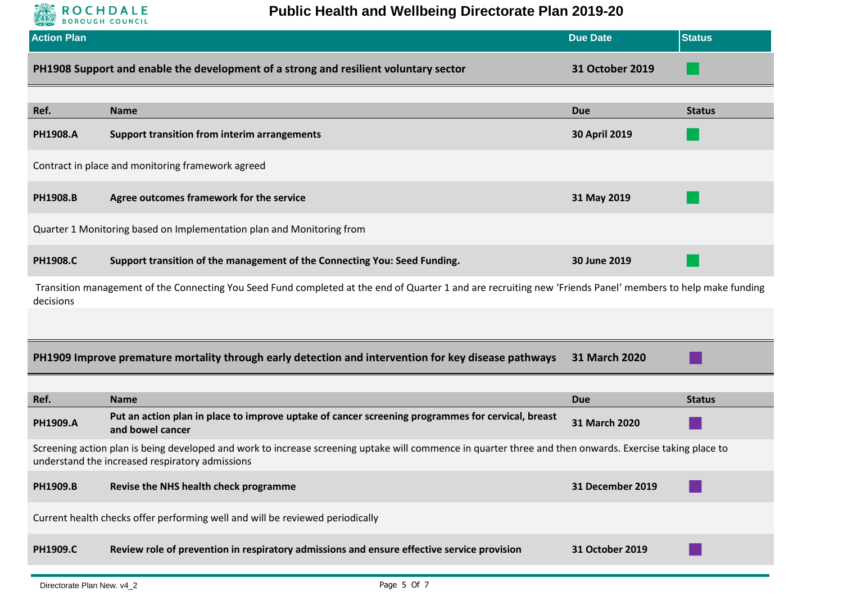

**Public Health and Wellbeing Directorate Plan 2019-20**

|                                                                                                                                                                                                             | <b>Due Date</b>                                                                                                  | <b>Status</b>                                                                                                                                                             |  |  |
|-------------------------------------------------------------------------------------------------------------------------------------------------------------------------------------------------------------|------------------------------------------------------------------------------------------------------------------|---------------------------------------------------------------------------------------------------------------------------------------------------------------------------|--|--|
| PH1908 Support and enable the development of a strong and resilient voluntary sector                                                                                                                        | <b>31 October 2019</b>                                                                                           |                                                                                                                                                                           |  |  |
| <b>Name</b>                                                                                                                                                                                                 | <b>Due</b>                                                                                                       | <b>Status</b>                                                                                                                                                             |  |  |
| <b>Support transition from interim arrangements</b>                                                                                                                                                         | <b>30 April 2019</b>                                                                                             |                                                                                                                                                                           |  |  |
| Contract in place and monitoring framework agreed                                                                                                                                                           |                                                                                                                  |                                                                                                                                                                           |  |  |
| Agree outcomes framework for the service                                                                                                                                                                    | 31 May 2019                                                                                                      |                                                                                                                                                                           |  |  |
| Quarter 1 Monitoring based on Implementation plan and Monitoring from                                                                                                                                       |                                                                                                                  |                                                                                                                                                                           |  |  |
| Support transition of the management of the Connecting You: Seed Funding.                                                                                                                                   | 30 June 2019                                                                                                     |                                                                                                                                                                           |  |  |
|                                                                                                                                                                                                             |                                                                                                                  |                                                                                                                                                                           |  |  |
|                                                                                                                                                                                                             |                                                                                                                  |                                                                                                                                                                           |  |  |
| PH1909 Improve premature mortality through early detection and intervention for key disease pathways                                                                                                        | 31 March 2020                                                                                                    |                                                                                                                                                                           |  |  |
|                                                                                                                                                                                                             |                                                                                                                  |                                                                                                                                                                           |  |  |
|                                                                                                                                                                                                             |                                                                                                                  | <b>Status</b>                                                                                                                                                             |  |  |
| and bowel cancer                                                                                                                                                                                            | 31 March 2020                                                                                                    |                                                                                                                                                                           |  |  |
| Screening action plan is being developed and work to increase screening uptake will commence in quarter three and then onwards. Exercise taking place to<br>understand the increased respiratory admissions |                                                                                                                  |                                                                                                                                                                           |  |  |
| Revise the NHS health check programme                                                                                                                                                                       | 31 December 2019                                                                                                 |                                                                                                                                                                           |  |  |
| Current health checks offer performing well and will be reviewed periodically                                                                                                                               |                                                                                                                  |                                                                                                                                                                           |  |  |
| Review role of prevention in respiratory admissions and ensure effective service provision                                                                                                                  | 31 October 2019                                                                                                  |                                                                                                                                                                           |  |  |
|                                                                                                                                                                                                             | <b>Name</b><br>Put an action plan in place to improve uptake of cancer screening programmes for cervical, breast | Transition management of the Connecting You Seed Fund completed at the end of Quarter 1 and are recruiting new 'Friends Panel' members to help make funding<br><b>Due</b> |  |  |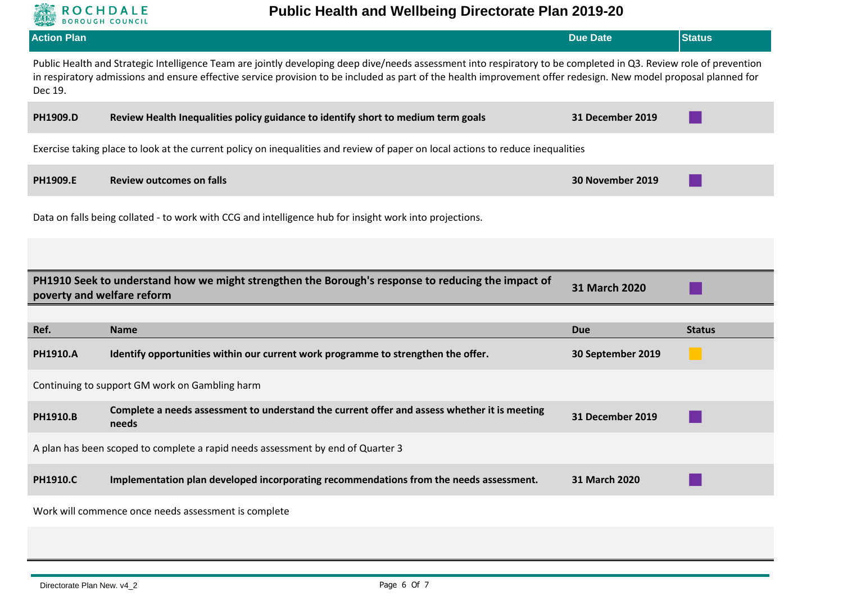

| <b>Action Plan</b> |                                                                                                                                                                                                                                                                                                                                       | <b>Due Date</b>         | <b>Status</b> |
|--------------------|---------------------------------------------------------------------------------------------------------------------------------------------------------------------------------------------------------------------------------------------------------------------------------------------------------------------------------------|-------------------------|---------------|
| Dec 19.            | Public Health and Strategic Intelligence Team are jointly developing deep dive/needs assessment into respiratory to be completed in Q3. Review role of prevention<br>in respiratory admissions and ensure effective service provision to be included as part of the health improvement offer redesign. New model proposal planned for |                         |               |
| PH1909.D           | Review Health Inequalities policy guidance to identify short to medium term goals                                                                                                                                                                                                                                                     | 31 December 2019        |               |
|                    | Exercise taking place to look at the current policy on inequalities and review of paper on local actions to reduce inequalities                                                                                                                                                                                                       |                         |               |
| PH1909.E           | <b>Review outcomes on falls</b>                                                                                                                                                                                                                                                                                                       | 30 November 2019        |               |
|                    | Data on falls being collated - to work with CCG and intelligence hub for insight work into projections.                                                                                                                                                                                                                               |                         |               |
|                    |                                                                                                                                                                                                                                                                                                                                       |                         |               |
|                    |                                                                                                                                                                                                                                                                                                                                       |                         |               |
|                    | PH1910 Seek to understand how we might strengthen the Borough's response to reducing the impact of<br>poverty and welfare reform                                                                                                                                                                                                      | 31 March 2020           |               |
|                    |                                                                                                                                                                                                                                                                                                                                       |                         |               |
| Ref.               | <b>Name</b>                                                                                                                                                                                                                                                                                                                           | <b>Due</b>              | <b>Status</b> |
| PH1910.A           | Identify opportunities within our current work programme to strengthen the offer.                                                                                                                                                                                                                                                     | 30 September 2019       |               |
|                    | Continuing to support GM work on Gambling harm                                                                                                                                                                                                                                                                                        |                         |               |
| <b>PH1910.B</b>    | Complete a needs assessment to understand the current offer and assess whether it is meeting<br>needs                                                                                                                                                                                                                                 | <b>31 December 2019</b> |               |
|                    | A plan has been scoped to complete a rapid needs assessment by end of Quarter 3                                                                                                                                                                                                                                                       |                         |               |
| PH1910.C           | Implementation plan developed incorporating recommendations from the needs assessment.                                                                                                                                                                                                                                                | 31 March 2020           |               |